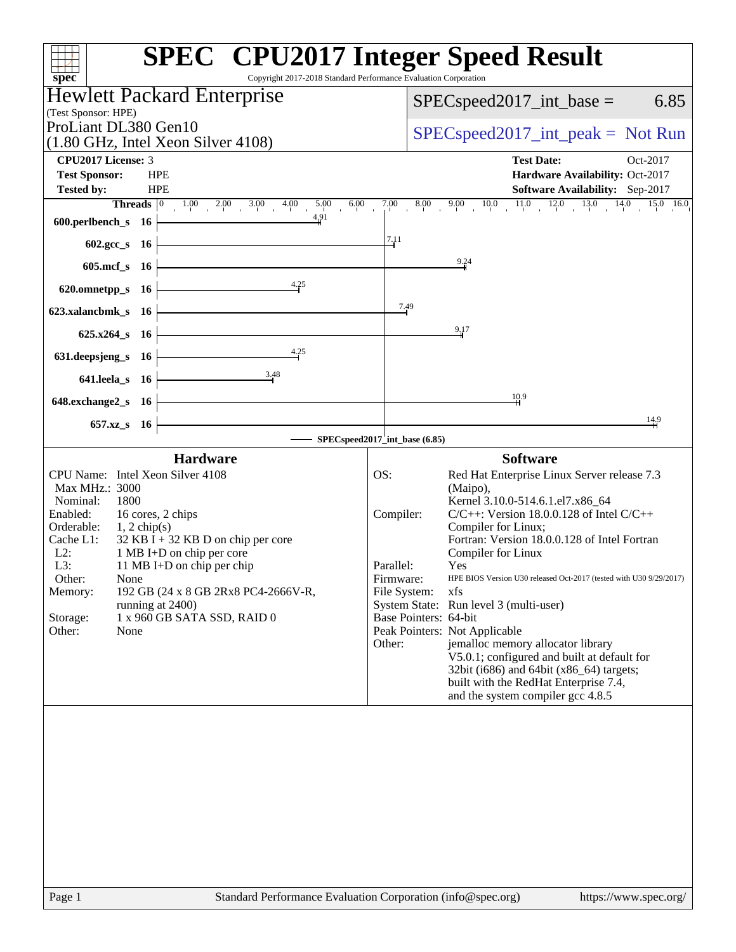| Copyright 2017-2018 Standard Performance Evaluation Corporation<br>spec <sup>®</sup>                                                                                                                                                                                                                                                                                                                                          | <b>SPEC<sup>®</sup></b> CPU2017 Integer Speed Result                                                                                                                                                                                                                                                                                                                                                                                                                                                                                                                                                                                                                                                                    |
|-------------------------------------------------------------------------------------------------------------------------------------------------------------------------------------------------------------------------------------------------------------------------------------------------------------------------------------------------------------------------------------------------------------------------------|-------------------------------------------------------------------------------------------------------------------------------------------------------------------------------------------------------------------------------------------------------------------------------------------------------------------------------------------------------------------------------------------------------------------------------------------------------------------------------------------------------------------------------------------------------------------------------------------------------------------------------------------------------------------------------------------------------------------------|
| <b>Hewlett Packard Enterprise</b><br>(Test Sponsor: HPE)                                                                                                                                                                                                                                                                                                                                                                      | 6.85<br>$SPEC speed2017\_int\_base =$                                                                                                                                                                                                                                                                                                                                                                                                                                                                                                                                                                                                                                                                                   |
| ProLiant DL380 Gen10<br>$(1.80 \text{ GHz}, \text{Intel Xeon Silver } 4108)$                                                                                                                                                                                                                                                                                                                                                  | $SPEC speed2017\_int\_peak = Not Run$                                                                                                                                                                                                                                                                                                                                                                                                                                                                                                                                                                                                                                                                                   |
| CPU2017 License: 3<br><b>HPE</b><br><b>Test Sponsor:</b><br><b>Tested by:</b><br><b>HPE</b><br>4.91                                                                                                                                                                                                                                                                                                                           | <b>Test Date:</b><br>Oct-2017<br>Hardware Availability: Oct-2017<br>Software Availability: Sep-2017<br><b>Threads</b> $\begin{bmatrix} 0 & 1.00 & 2.00 & 3.00 & 4.00 & 5.00 & 6.00 & 7.00 & 8.00 & 9.00 & 10.0 & 11.0 & 12.0 & 13.0 & 14.0 & 15.0 & 16.0 \end{bmatrix}$                                                                                                                                                                                                                                                                                                                                                                                                                                                 |
| $600.$ perlbench_s $16$ $\overline{\phantom{a}}$<br><u> 1989 - Johann Stoff, deutscher Stoff, der Stoff, der Stoff, der Stoff, der Stoff, der Stoff, der Stoff, der </u><br>$602.\text{sec}\_\text{S}$ 16                                                                                                                                                                                                                     | 7.11                                                                                                                                                                                                                                                                                                                                                                                                                                                                                                                                                                                                                                                                                                                    |
| 605.mcf $s$ 16                                                                                                                                                                                                                                                                                                                                                                                                                | 9.24                                                                                                                                                                                                                                                                                                                                                                                                                                                                                                                                                                                                                                                                                                                    |
| 4.25<br>620.omnetpp_s $16$<br>623.xalancbmk_s 16                                                                                                                                                                                                                                                                                                                                                                              | 7.49                                                                                                                                                                                                                                                                                                                                                                                                                                                                                                                                                                                                                                                                                                                    |
| $625.x264_s$ 16                                                                                                                                                                                                                                                                                                                                                                                                               | 9,17                                                                                                                                                                                                                                                                                                                                                                                                                                                                                                                                                                                                                                                                                                                    |
| 4.25<br>631. deepsjeng_s 16                                                                                                                                                                                                                                                                                                                                                                                                   |                                                                                                                                                                                                                                                                                                                                                                                                                                                                                                                                                                                                                                                                                                                         |
| 3.48<br>$641.$ leela_s $16$<br>$648$ .exchange $2$ <sub>_S</sub> 16                                                                                                                                                                                                                                                                                                                                                           | 10.9                                                                                                                                                                                                                                                                                                                                                                                                                                                                                                                                                                                                                                                                                                                    |
| 657.xz_s 16                                                                                                                                                                                                                                                                                                                                                                                                                   | $\frac{14.9}{4}$                                                                                                                                                                                                                                                                                                                                                                                                                                                                                                                                                                                                                                                                                                        |
| <b>Hardware</b>                                                                                                                                                                                                                                                                                                                                                                                                               | SPECspeed2017_int_base (6.85)<br><b>Software</b>                                                                                                                                                                                                                                                                                                                                                                                                                                                                                                                                                                                                                                                                        |
| CPU Name: Intel Xeon Silver 4108<br>Max MHz.: 3000<br>Nominal:<br>1800<br>Enabled:<br>16 cores, 2 chips<br>Orderable:<br>$1, 2$ chip(s)<br>Cache L1:<br>$32$ KB I + 32 KB D on chip per core<br>1 MB I+D on chip per core<br>$L2$ :<br>11 MB I+D on chip per chip<br>L3:<br>Other:<br>None<br>192 GB (24 x 8 GB 2Rx8 PC4-2666V-R,<br>Memory:<br>running at 2400)<br>1 x 960 GB SATA SSD, RAID 0<br>Storage:<br>Other:<br>None | OS:<br>Red Hat Enterprise Linux Server release 7.3<br>(Maipo),<br>Kernel 3.10.0-514.6.1.el7.x86_64<br>$C/C++$ : Version 18.0.0.128 of Intel $C/C++$<br>Compiler:<br>Compiler for Linux;<br>Fortran: Version 18.0.0.128 of Intel Fortran<br>Compiler for Linux<br>Parallel:<br>Yes<br>Firmware:<br>HPE BIOS Version U30 released Oct-2017 (tested with U30 9/29/2017)<br>File System:<br>xfs<br>System State: Run level 3 (multi-user)<br>Base Pointers: 64-bit<br>Peak Pointers: Not Applicable<br>Other:<br>jemalloc memory allocator library<br>V5.0.1; configured and built at default for<br>32bit (i686) and 64bit (x86_64) targets;<br>built with the RedHat Enterprise 7.4,<br>and the system compiler gcc 4.8.5 |
|                                                                                                                                                                                                                                                                                                                                                                                                                               |                                                                                                                                                                                                                                                                                                                                                                                                                                                                                                                                                                                                                                                                                                                         |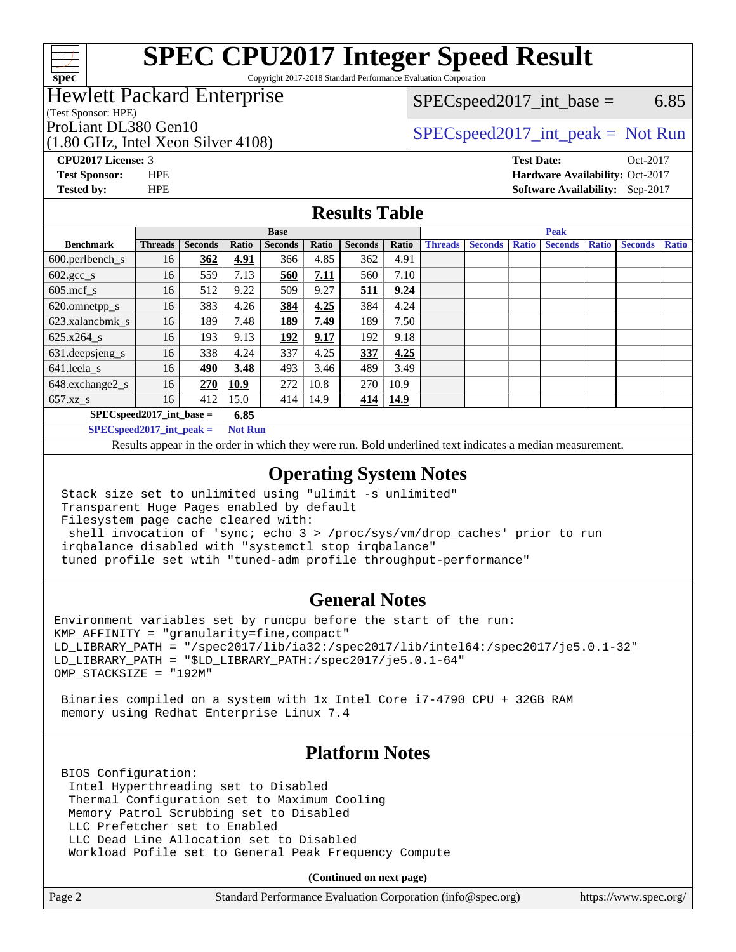

Copyright 2017-2018 Standard Performance Evaluation Corporation

# Hewlett Packard Enterprise

(Test Sponsor: HPE)

(1.80 GHz, Intel Xeon Silver 4108)

 $SPEC speed2017\_int\_base =$  6.85

# ProLiant DL380 Gen10  $SPEC speed2017\_int\_peak = Not Run$

**[Tested by:](http://www.spec.org/auto/cpu2017/Docs/result-fields.html#Testedby)** HPE **[Software Availability:](http://www.spec.org/auto/cpu2017/Docs/result-fields.html#SoftwareAvailability)** Sep-2017

**[CPU2017 License:](http://www.spec.org/auto/cpu2017/Docs/result-fields.html#CPU2017License)** 3 **[Test Date:](http://www.spec.org/auto/cpu2017/Docs/result-fields.html#TestDate)** Oct-2017 **[Test Sponsor:](http://www.spec.org/auto/cpu2017/Docs/result-fields.html#TestSponsor)** HPE **[Hardware Availability:](http://www.spec.org/auto/cpu2017/Docs/result-fields.html#HardwareAvailability)** Oct-2017

### **[Results Table](http://www.spec.org/auto/cpu2017/Docs/result-fields.html#ResultsTable)**

|                                      | <b>Base</b>    |                |       |                |       | <b>Peak</b>    |       |                |                |              |                |              |                |              |
|--------------------------------------|----------------|----------------|-------|----------------|-------|----------------|-------|----------------|----------------|--------------|----------------|--------------|----------------|--------------|
| <b>Benchmark</b>                     | <b>Threads</b> | <b>Seconds</b> | Ratio | <b>Seconds</b> | Ratio | <b>Seconds</b> | Ratio | <b>Threads</b> | <b>Seconds</b> | <b>Ratio</b> | <b>Seconds</b> | <b>Ratio</b> | <b>Seconds</b> | <b>Ratio</b> |
| $600.$ perlbench_s                   | 16             | 362            | 4.91  | 366            | 4.85  | 362            | 4.91  |                |                |              |                |              |                |              |
| $602 \text{.} \text{gcc}\text{_<}$ s | 16             | 559            | 7.13  | 560            | 7.11  | 560            | 7.10  |                |                |              |                |              |                |              |
| $605$ .mcf s                         | 16             | 512            | 9.22  | 509            | 9.27  | 511            | 9.24  |                |                |              |                |              |                |              |
| 620.omnetpp_s                        | 16             | 383            | 4.26  | 384            | 4.25  | 384            | 4.24  |                |                |              |                |              |                |              |
| 623.xalancbmk s                      | 16             | 189            | 7.48  | <u>189</u>     | 7.49  | 189            | 7.50  |                |                |              |                |              |                |              |
| $625.x264_s$                         | 16             | 193            | 9.13  | 192            | 9.17  | 192            | 9.18  |                |                |              |                |              |                |              |
| 631.deepsjeng_s                      | 16             | 338            | 4.24  | 337            | 4.25  | 337            | 4.25  |                |                |              |                |              |                |              |
| 641.leela s                          | 16             | 490            | 3.48  | 493            | 3.46  | 489            | 3.49  |                |                |              |                |              |                |              |
| 648.exchange2_s                      | 16             | 270            | 10.9  | 272            | 10.8  | 270            | 10.9  |                |                |              |                |              |                |              |
| $657.xz$ s                           | 16             | 412            | 15.0  | 414            | 14.9  | 414            | 14.9  |                |                |              |                |              |                |              |
| $SPECspeed2017$ int base =<br>6.85   |                |                |       |                |       |                |       |                |                |              |                |              |                |              |

**[SPECspeed2017\\_int\\_peak =](http://www.spec.org/auto/cpu2017/Docs/result-fields.html#SPECspeed2017intpeak) Not Run**

Results appear in the [order in which they were run.](http://www.spec.org/auto/cpu2017/Docs/result-fields.html#RunOrder) Bold underlined text [indicates a median measurement.](http://www.spec.org/auto/cpu2017/Docs/result-fields.html#Median)

### **[Operating System Notes](http://www.spec.org/auto/cpu2017/Docs/result-fields.html#OperatingSystemNotes)**

 Stack size set to unlimited using "ulimit -s unlimited" Transparent Huge Pages enabled by default Filesystem page cache cleared with: shell invocation of 'sync; echo 3 > /proc/sys/vm/drop\_caches' prior to run irqbalance disabled with "systemctl stop irqbalance"

tuned profile set wtih "tuned-adm profile throughput-performance"

### **[General Notes](http://www.spec.org/auto/cpu2017/Docs/result-fields.html#GeneralNotes)**

Environment variables set by runcpu before the start of the run: KMP\_AFFINITY = "granularity=fine,compact" LD\_LIBRARY\_PATH = "/spec2017/lib/ia32:/spec2017/lib/intel64:/spec2017/je5.0.1-32" LD\_LIBRARY\_PATH = "\$LD\_LIBRARY\_PATH:/spec2017/je5.0.1-64" OMP\_STACKSIZE = "192M"

 Binaries compiled on a system with 1x Intel Core i7-4790 CPU + 32GB RAM memory using Redhat Enterprise Linux 7.4

### **[Platform Notes](http://www.spec.org/auto/cpu2017/Docs/result-fields.html#PlatformNotes)**

 BIOS Configuration: Intel Hyperthreading set to Disabled Thermal Configuration set to Maximum Cooling Memory Patrol Scrubbing set to Disabled LLC Prefetcher set to Enabled LLC Dead Line Allocation set to Disabled Workload Pofile set to General Peak Frequency Compute

**(Continued on next page)**

| Page 2<br>Standard Performance Evaluation Corporation (info@spec.org) | https://www.spec.org/ |
|-----------------------------------------------------------------------|-----------------------|
|-----------------------------------------------------------------------|-----------------------|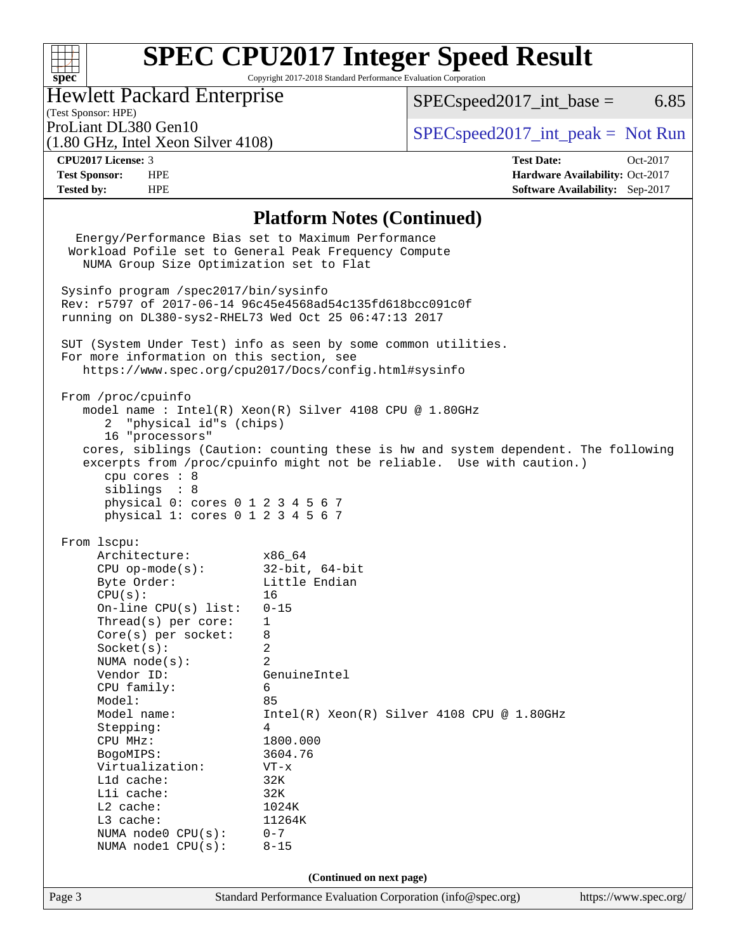## $\pm$ **[spec](http://www.spec.org/)**

# **[SPEC CPU2017 Integer Speed Result](http://www.spec.org/auto/cpu2017/Docs/result-fields.html#SPECCPU2017IntegerSpeedResult)**

Copyright 2017-2018 Standard Performance Evaluation Corporation

# Hewlett Packard Enterprise

 $SPECspeed2017\_int\_base =$  6.85

(Test Sponsor: HPE)<br>ProLiant DL380 Gen10 (1.80 GHz, Intel Xeon Silver 4108)

 $SPECspeed2017\_int\_peak = Not Run$ 

**[CPU2017 License:](http://www.spec.org/auto/cpu2017/Docs/result-fields.html#CPU2017License)** 3 **[Test Date:](http://www.spec.org/auto/cpu2017/Docs/result-fields.html#TestDate)** Oct-2017 **[Test Sponsor:](http://www.spec.org/auto/cpu2017/Docs/result-fields.html#TestSponsor)** HPE **[Hardware Availability:](http://www.spec.org/auto/cpu2017/Docs/result-fields.html#HardwareAvailability)** Oct-2017 **[Tested by:](http://www.spec.org/auto/cpu2017/Docs/result-fields.html#Testedby)** HPE **[Software Availability:](http://www.spec.org/auto/cpu2017/Docs/result-fields.html#SoftwareAvailability)** Sep-2017

### **[Platform Notes \(Continued\)](http://www.spec.org/auto/cpu2017/Docs/result-fields.html#PlatformNotes)**

|        |                                                                                                             | Energy/Performance Bias set to Maximum Performance                                 |                       |  |  |  |
|--------|-------------------------------------------------------------------------------------------------------------|------------------------------------------------------------------------------------|-----------------------|--|--|--|
|        |                                                                                                             | Workload Pofile set to General Peak Frequency Compute                              |                       |  |  |  |
|        | NUMA Group Size Optimization set to Flat                                                                    |                                                                                    |                       |  |  |  |
|        |                                                                                                             |                                                                                    |                       |  |  |  |
|        | Sysinfo program /spec2017/bin/sysinfo                                                                       |                                                                                    |                       |  |  |  |
|        |                                                                                                             | Rev: r5797 of 2017-06-14 96c45e4568ad54c135fd618bcc091c0f                          |                       |  |  |  |
|        | running on DL380-sys2-RHEL73 Wed Oct 25 06:47:13 2017                                                       |                                                                                    |                       |  |  |  |
|        |                                                                                                             |                                                                                    |                       |  |  |  |
|        |                                                                                                             |                                                                                    |                       |  |  |  |
|        | SUT (System Under Test) info as seen by some common utilities.<br>For more information on this section, see |                                                                                    |                       |  |  |  |
|        | https://www.spec.org/cpu2017/Docs/config.html#sysinfo                                                       |                                                                                    |                       |  |  |  |
|        |                                                                                                             |                                                                                    |                       |  |  |  |
|        | From /proc/cpuinfo                                                                                          |                                                                                    |                       |  |  |  |
|        |                                                                                                             | model name : Intel(R) Xeon(R) Silver 4108 CPU @ 1.80GHz                            |                       |  |  |  |
|        | 2 "physical id"s (chips)                                                                                    |                                                                                    |                       |  |  |  |
|        | 16 "processors"                                                                                             |                                                                                    |                       |  |  |  |
|        |                                                                                                             |                                                                                    |                       |  |  |  |
|        |                                                                                                             | cores, siblings (Caution: counting these is hw and system dependent. The following |                       |  |  |  |
|        |                                                                                                             | excerpts from /proc/cpuinfo might not be reliable. Use with caution.)              |                       |  |  |  |
|        | cpu cores : 8                                                                                               |                                                                                    |                       |  |  |  |
|        | siblings : 8<br>physical 0: cores 0 1 2 3 4 5 6 7                                                           |                                                                                    |                       |  |  |  |
|        | physical 1: cores 0 1 2 3 4 5 6 7                                                                           |                                                                                    |                       |  |  |  |
|        |                                                                                                             |                                                                                    |                       |  |  |  |
|        | From 1scpu:                                                                                                 |                                                                                    |                       |  |  |  |
|        | Architecture:                                                                                               | x86_64                                                                             |                       |  |  |  |
|        | CPU op-mode(s): $32$ -bit, 64-bit                                                                           |                                                                                    |                       |  |  |  |
|        | Byte Order:                                                                                                 | Little Endian                                                                      |                       |  |  |  |
|        | CPU(s):                                                                                                     | 16                                                                                 |                       |  |  |  |
|        | On-line $CPU(s)$ list:                                                                                      | $0 - 15$                                                                           |                       |  |  |  |
|        | Thread(s) per core:                                                                                         | $\mathbf{1}$                                                                       |                       |  |  |  |
|        | $Core(s)$ per socket:                                                                                       | 8                                                                                  |                       |  |  |  |
|        | Socket(s):                                                                                                  | $\overline{2}$                                                                     |                       |  |  |  |
|        | NUMA $node(s)$ :                                                                                            | 2                                                                                  |                       |  |  |  |
|        | Vendor ID:                                                                                                  | GenuineIntel                                                                       |                       |  |  |  |
|        |                                                                                                             | 6                                                                                  |                       |  |  |  |
|        | CPU family:                                                                                                 |                                                                                    |                       |  |  |  |
|        | Model:                                                                                                      | 85<br>Intel(R) Xeon(R) Silver 4108 CPU @ 1.80GHz                                   |                       |  |  |  |
|        | Model name:                                                                                                 |                                                                                    |                       |  |  |  |
|        | Stepping:                                                                                                   | 4                                                                                  |                       |  |  |  |
|        | CPU MHz:                                                                                                    | 1800.000<br>3604.76                                                                |                       |  |  |  |
|        | BogoMIPS:                                                                                                   |                                                                                    |                       |  |  |  |
|        | Virtualization:                                                                                             | $VT - x$                                                                           |                       |  |  |  |
|        | Lld cache:                                                                                                  | 32K                                                                                |                       |  |  |  |
|        | Lli cache:                                                                                                  | 32K                                                                                |                       |  |  |  |
|        | L2 cache:                                                                                                   | 1024K                                                                              |                       |  |  |  |
|        | L3 cache:                                                                                                   | 11264K                                                                             |                       |  |  |  |
|        | NUMA node0 CPU(s):                                                                                          | $0 - 7$                                                                            |                       |  |  |  |
|        | NUMA nodel CPU(s):                                                                                          | $8 - 15$                                                                           |                       |  |  |  |
|        |                                                                                                             |                                                                                    |                       |  |  |  |
|        |                                                                                                             | (Continued on next page)                                                           |                       |  |  |  |
| Page 3 |                                                                                                             | Standard Performance Evaluation Corporation (info@spec.org)                        | https://www.spec.org/ |  |  |  |
|        |                                                                                                             |                                                                                    |                       |  |  |  |
|        |                                                                                                             |                                                                                    |                       |  |  |  |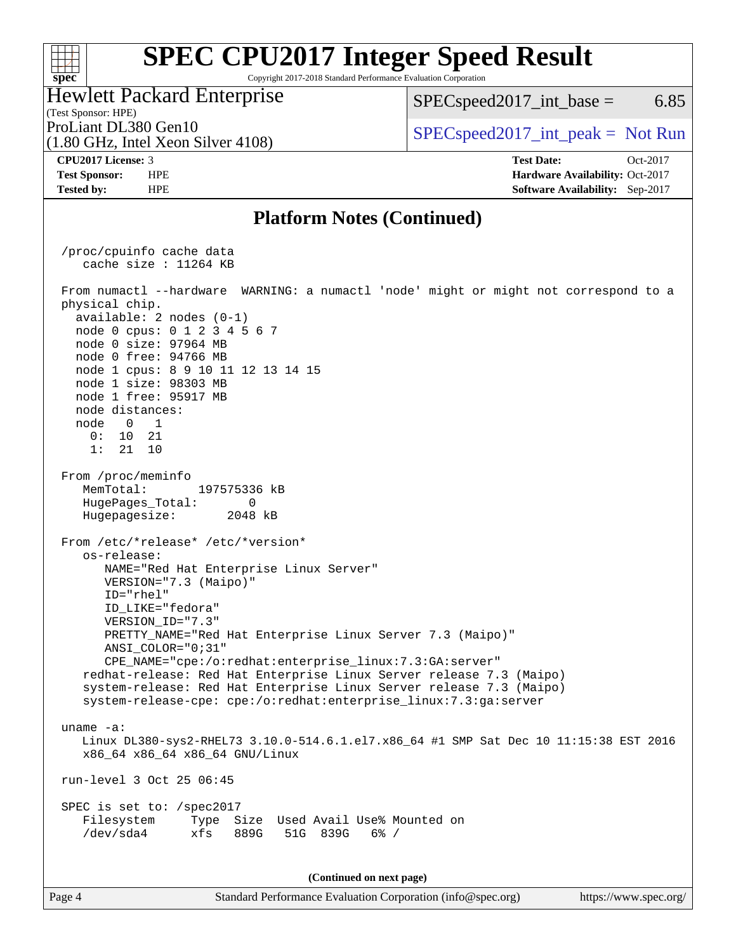Copyright 2017-2018 Standard Performance Evaluation Corporation

Hewlett Packard Enterprise

 $SPEC speed2017\_int\_base =$  6.85

(1.80 GHz, Intel Xeon Silver 4108) ProLiant DL380 Gen10  $SPEC speed2017\_int\_peak = Not Run$ 

(Test Sponsor: HPE)

**[spec](http://www.spec.org/)**

 $+\!\!+\!\!$ 

**[CPU2017 License:](http://www.spec.org/auto/cpu2017/Docs/result-fields.html#CPU2017License)** 3 **[Test Date:](http://www.spec.org/auto/cpu2017/Docs/result-fields.html#TestDate)** Oct-2017 **[Test Sponsor:](http://www.spec.org/auto/cpu2017/Docs/result-fields.html#TestSponsor)** HPE **[Hardware Availability:](http://www.spec.org/auto/cpu2017/Docs/result-fields.html#HardwareAvailability)** Oct-2017 **[Tested by:](http://www.spec.org/auto/cpu2017/Docs/result-fields.html#Testedby)** HPE **[Software Availability:](http://www.spec.org/auto/cpu2017/Docs/result-fields.html#SoftwareAvailability)** Sep-2017

### **[Platform Notes \(Continued\)](http://www.spec.org/auto/cpu2017/Docs/result-fields.html#PlatformNotes)**

 /proc/cpuinfo cache data cache size : 11264 KB From numactl --hardware WARNING: a numactl 'node' might or might not correspond to a physical chip. available: 2 nodes (0-1) node 0 cpus: 0 1 2 3 4 5 6 7 node 0 size: 97964 MB node 0 free: 94766 MB node 1 cpus: 8 9 10 11 12 13 14 15 node 1 size: 98303 MB node 1 free: 95917 MB node distances: node 0 1 0: 10 21 1: 21 10 From /proc/meminfo MemTotal: 197575336 kB HugePages\_Total: 0 Hugepagesize: 2048 kB From /etc/\*release\* /etc/\*version\* os-release: NAME="Red Hat Enterprise Linux Server" VERSION="7.3 (Maipo)" ID="rhel" ID\_LIKE="fedora" VERSION\_ID="7.3" PRETTY\_NAME="Red Hat Enterprise Linux Server 7.3 (Maipo)" ANSI\_COLOR="0;31" CPE\_NAME="cpe:/o:redhat:enterprise\_linux:7.3:GA:server" redhat-release: Red Hat Enterprise Linux Server release 7.3 (Maipo) system-release: Red Hat Enterprise Linux Server release 7.3 (Maipo) system-release-cpe: cpe:/o:redhat:enterprise\_linux:7.3:ga:server uname -a: Linux DL380-sys2-RHEL73 3.10.0-514.6.1.el7.x86\_64 #1 SMP Sat Dec 10 11:15:38 EST 2016 x86\_64 x86\_64 x86\_64 GNU/Linux run-level 3 Oct 25 06:45 SPEC is set to: /spec2017 Filesystem Type Size Used Avail Use% Mounted on /dev/sda4 xfs 889G 51G 839G 6% / **(Continued on next page)**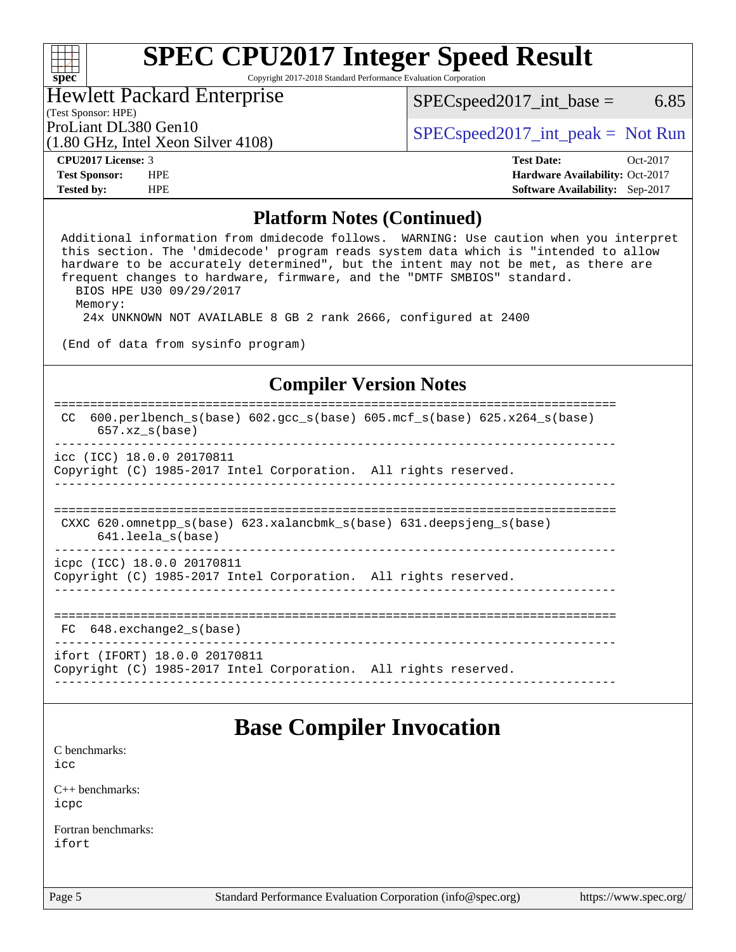Copyright 2017-2018 Standard Performance Evaluation Corporation

### Hewlett Packard Enterprise

 $SPEC speed2017\_int\_base = 6.85$ 

### (Test Sponsor: HPE)

(1.80 GHz, Intel Xeon Silver 4108)

ProLiant DL380 Gen10  $SPEC speed2017\_int\_peak = Not Run$ 

**[spec](http://www.spec.org/)**

 $\begin{matrix} & \ + \ + \end{matrix}$ 

**[Tested by:](http://www.spec.org/auto/cpu2017/Docs/result-fields.html#Testedby)** HPE **[Software Availability:](http://www.spec.org/auto/cpu2017/Docs/result-fields.html#SoftwareAvailability)** Sep-2017

**[CPU2017 License:](http://www.spec.org/auto/cpu2017/Docs/result-fields.html#CPU2017License)** 3 **[Test Date:](http://www.spec.org/auto/cpu2017/Docs/result-fields.html#TestDate)** Oct-2017 **[Test Sponsor:](http://www.spec.org/auto/cpu2017/Docs/result-fields.html#TestSponsor)** HPE **[Hardware Availability:](http://www.spec.org/auto/cpu2017/Docs/result-fields.html#HardwareAvailability)** Oct-2017

### **[Platform Notes \(Continued\)](http://www.spec.org/auto/cpu2017/Docs/result-fields.html#PlatformNotes)**

 Additional information from dmidecode follows. WARNING: Use caution when you interpret this section. The 'dmidecode' program reads system data which is "intended to allow hardware to be accurately determined", but the intent may not be met, as there are frequent changes to hardware, firmware, and the "DMTF SMBIOS" standard. BIOS HPE U30 09/29/2017 Memory: 24x UNKNOWN NOT AVAILABLE 8 GB 2 rank 2666, configured at 2400

(End of data from sysinfo program)

## **[Compiler Version Notes](http://www.spec.org/auto/cpu2017/Docs/result-fields.html#CompilerVersionNotes)**

```
==============================================================================
 CC 600.perlbench_s(base) 602.gcc_s(base) 605.mcf_s(base) 625.x264_s(base)
       657.xz_s(base)
   ------------------------------------------------------------------------------
icc (ICC) 18.0.0 20170811
Copyright (C) 1985-2017 Intel Corporation. All rights reserved.
------------------------------------------------------------------------------
==============================================================================
CXXC 620.omnetpp s(base) 623.xalancbmk s(base) 631.deepsjeng s(base)
      641.leela_s(base)
------------------------------------------------------------------------------
icpc (ICC) 18.0.0 20170811
Copyright (C) 1985-2017 Intel Corporation. All rights reserved.
                      ------------------------------------------------------------------------------
```

```
==============================================================================
```

```
 FC 648.exchange2_s(base) 
------------------------------------------------------------------------------
```
ifort (IFORT) 18.0.0 20170811 Copyright (C) 1985-2017 Intel Corporation. All rights reserved. ------------------------------------------------------------------------------

# **[Base Compiler Invocation](http://www.spec.org/auto/cpu2017/Docs/result-fields.html#BaseCompilerInvocation)**

[C benchmarks](http://www.spec.org/auto/cpu2017/Docs/result-fields.html#Cbenchmarks): [icc](http://www.spec.org/cpu2017/results/res2017q4/cpu2017-20171031-00440.flags.html#user_CCbase_intel_icc_18.0_66fc1ee009f7361af1fbd72ca7dcefbb700085f36577c54f309893dd4ec40d12360134090235512931783d35fd58c0460139e722d5067c5574d8eaf2b3e37e92)

[C++ benchmarks:](http://www.spec.org/auto/cpu2017/Docs/result-fields.html#CXXbenchmarks) [icpc](http://www.spec.org/cpu2017/results/res2017q4/cpu2017-20171031-00440.flags.html#user_CXXbase_intel_icpc_18.0_c510b6838c7f56d33e37e94d029a35b4a7bccf4766a728ee175e80a419847e808290a9b78be685c44ab727ea267ec2f070ec5dc83b407c0218cded6866a35d07)

[Fortran benchmarks](http://www.spec.org/auto/cpu2017/Docs/result-fields.html#Fortranbenchmarks): [ifort](http://www.spec.org/cpu2017/results/res2017q4/cpu2017-20171031-00440.flags.html#user_FCbase_intel_ifort_18.0_8111460550e3ca792625aed983ce982f94888b8b503583aa7ba2b8303487b4d8a21a13e7191a45c5fd58ff318f48f9492884d4413fa793fd88dd292cad7027ca)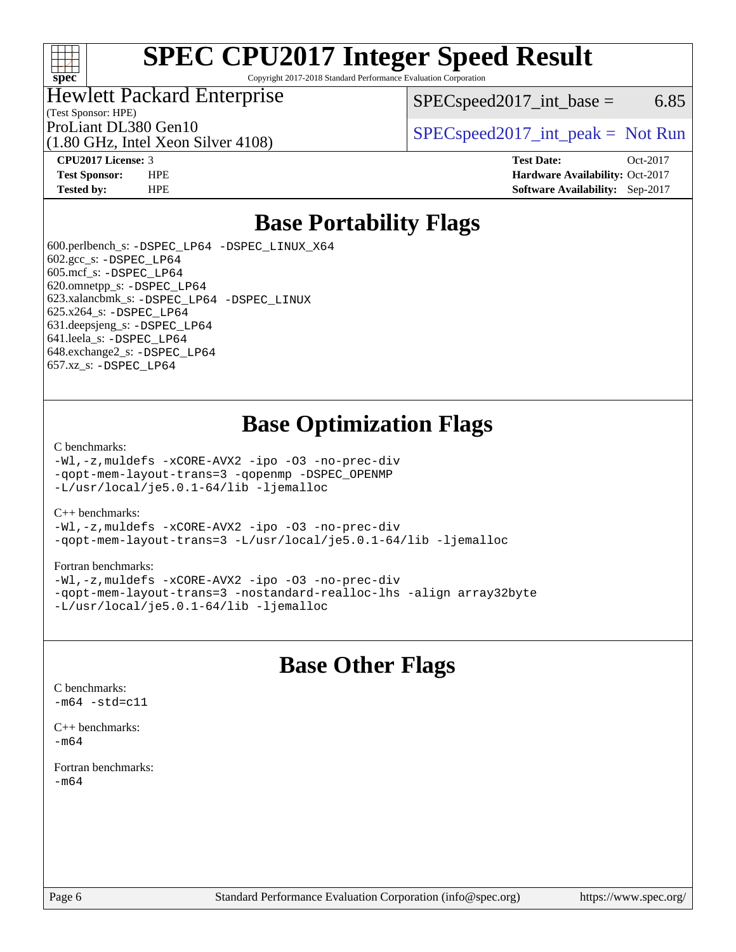

Copyright 2017-2018 Standard Performance Evaluation Corporation

# Hewlett Packard Enterprise

(1.80 GHz, Intel Xeon Silver 4108)

 $SPEC speed2017\_int\_base = 6.85$ 

(Test Sponsor: HPE)

ProLiant DL380 Gen10  $SPEC speed2017\_int\_peak = Not Run$ 

**[CPU2017 License:](http://www.spec.org/auto/cpu2017/Docs/result-fields.html#CPU2017License)** 3 **[Test Date:](http://www.spec.org/auto/cpu2017/Docs/result-fields.html#TestDate)** Oct-2017 **[Test Sponsor:](http://www.spec.org/auto/cpu2017/Docs/result-fields.html#TestSponsor)** HPE **[Hardware Availability:](http://www.spec.org/auto/cpu2017/Docs/result-fields.html#HardwareAvailability)** Oct-2017 **[Tested by:](http://www.spec.org/auto/cpu2017/Docs/result-fields.html#Testedby)** HPE **[Software Availability:](http://www.spec.org/auto/cpu2017/Docs/result-fields.html#SoftwareAvailability)** Sep-2017

# **[Base Portability Flags](http://www.spec.org/auto/cpu2017/Docs/result-fields.html#BasePortabilityFlags)**

 600.perlbench\_s: [-DSPEC\\_LP64](http://www.spec.org/cpu2017/results/res2017q4/cpu2017-20171031-00440.flags.html#b600.perlbench_s_basePORTABILITY_DSPEC_LP64) [-DSPEC\\_LINUX\\_X64](http://www.spec.org/cpu2017/results/res2017q4/cpu2017-20171031-00440.flags.html#b600.perlbench_s_baseCPORTABILITY_DSPEC_LINUX_X64) 602.gcc\_s: [-DSPEC\\_LP64](http://www.spec.org/cpu2017/results/res2017q4/cpu2017-20171031-00440.flags.html#suite_basePORTABILITY602_gcc_s_DSPEC_LP64) 605.mcf\_s: [-DSPEC\\_LP64](http://www.spec.org/cpu2017/results/res2017q4/cpu2017-20171031-00440.flags.html#suite_basePORTABILITY605_mcf_s_DSPEC_LP64) 620.omnetpp\_s: [-DSPEC\\_LP64](http://www.spec.org/cpu2017/results/res2017q4/cpu2017-20171031-00440.flags.html#suite_basePORTABILITY620_omnetpp_s_DSPEC_LP64) 623.xalancbmk\_s: [-DSPEC\\_LP64](http://www.spec.org/cpu2017/results/res2017q4/cpu2017-20171031-00440.flags.html#suite_basePORTABILITY623_xalancbmk_s_DSPEC_LP64) [-DSPEC\\_LINUX](http://www.spec.org/cpu2017/results/res2017q4/cpu2017-20171031-00440.flags.html#b623.xalancbmk_s_baseCXXPORTABILITY_DSPEC_LINUX) 625.x264\_s: [-DSPEC\\_LP64](http://www.spec.org/cpu2017/results/res2017q4/cpu2017-20171031-00440.flags.html#suite_basePORTABILITY625_x264_s_DSPEC_LP64) 631.deepsjeng\_s: [-DSPEC\\_LP64](http://www.spec.org/cpu2017/results/res2017q4/cpu2017-20171031-00440.flags.html#suite_basePORTABILITY631_deepsjeng_s_DSPEC_LP64) 641.leela\_s: [-DSPEC\\_LP64](http://www.spec.org/cpu2017/results/res2017q4/cpu2017-20171031-00440.flags.html#suite_basePORTABILITY641_leela_s_DSPEC_LP64) 648.exchange2\_s: [-DSPEC\\_LP64](http://www.spec.org/cpu2017/results/res2017q4/cpu2017-20171031-00440.flags.html#suite_basePORTABILITY648_exchange2_s_DSPEC_LP64) 657.xz\_s: [-DSPEC\\_LP64](http://www.spec.org/cpu2017/results/res2017q4/cpu2017-20171031-00440.flags.html#suite_basePORTABILITY657_xz_s_DSPEC_LP64)

# **[Base Optimization Flags](http://www.spec.org/auto/cpu2017/Docs/result-fields.html#BaseOptimizationFlags)**

#### [C benchmarks](http://www.spec.org/auto/cpu2017/Docs/result-fields.html#Cbenchmarks):

[-Wl,-z,muldefs](http://www.spec.org/cpu2017/results/res2017q4/cpu2017-20171031-00440.flags.html#user_CCbase_link_force_multiple1_b4cbdb97b34bdee9ceefcfe54f4c8ea74255f0b02a4b23e853cdb0e18eb4525ac79b5a88067c842dd0ee6996c24547a27a4b99331201badda8798ef8a743f577) [-xCORE-AVX2](http://www.spec.org/cpu2017/results/res2017q4/cpu2017-20171031-00440.flags.html#user_CCbase_f-xCORE-AVX2) [-ipo](http://www.spec.org/cpu2017/results/res2017q4/cpu2017-20171031-00440.flags.html#user_CCbase_f-ipo) [-O3](http://www.spec.org/cpu2017/results/res2017q4/cpu2017-20171031-00440.flags.html#user_CCbase_f-O3) [-no-prec-div](http://www.spec.org/cpu2017/results/res2017q4/cpu2017-20171031-00440.flags.html#user_CCbase_f-no-prec-div) [-qopt-mem-layout-trans=3](http://www.spec.org/cpu2017/results/res2017q4/cpu2017-20171031-00440.flags.html#user_CCbase_f-qopt-mem-layout-trans_de80db37974c74b1f0e20d883f0b675c88c3b01e9d123adea9b28688d64333345fb62bc4a798493513fdb68f60282f9a726aa07f478b2f7113531aecce732043) [-qopenmp](http://www.spec.org/cpu2017/results/res2017q4/cpu2017-20171031-00440.flags.html#user_CCbase_qopenmp_16be0c44f24f464004c6784a7acb94aca937f053568ce72f94b139a11c7c168634a55f6653758ddd83bcf7b8463e8028bb0b48b77bcddc6b78d5d95bb1df2967) [-DSPEC\\_OPENMP](http://www.spec.org/cpu2017/results/res2017q4/cpu2017-20171031-00440.flags.html#suite_CCbase_DSPEC_OPENMP) [-L/usr/local/je5.0.1-64/lib](http://www.spec.org/cpu2017/results/res2017q4/cpu2017-20171031-00440.flags.html#user_CCbase_jemalloc_link_path64_4b10a636b7bce113509b17f3bd0d6226c5fb2346b9178c2d0232c14f04ab830f976640479e5c33dc2bcbbdad86ecfb6634cbbd4418746f06f368b512fced5394) [-ljemalloc](http://www.spec.org/cpu2017/results/res2017q4/cpu2017-20171031-00440.flags.html#user_CCbase_jemalloc_link_lib_d1249b907c500fa1c0672f44f562e3d0f79738ae9e3c4a9c376d49f265a04b9c99b167ecedbf6711b3085be911c67ff61f150a17b3472be731631ba4d0471706)

#### [C++ benchmarks:](http://www.spec.org/auto/cpu2017/Docs/result-fields.html#CXXbenchmarks)

[-Wl,-z,muldefs](http://www.spec.org/cpu2017/results/res2017q4/cpu2017-20171031-00440.flags.html#user_CXXbase_link_force_multiple1_b4cbdb97b34bdee9ceefcfe54f4c8ea74255f0b02a4b23e853cdb0e18eb4525ac79b5a88067c842dd0ee6996c24547a27a4b99331201badda8798ef8a743f577) [-xCORE-AVX2](http://www.spec.org/cpu2017/results/res2017q4/cpu2017-20171031-00440.flags.html#user_CXXbase_f-xCORE-AVX2) [-ipo](http://www.spec.org/cpu2017/results/res2017q4/cpu2017-20171031-00440.flags.html#user_CXXbase_f-ipo) [-O3](http://www.spec.org/cpu2017/results/res2017q4/cpu2017-20171031-00440.flags.html#user_CXXbase_f-O3) [-no-prec-div](http://www.spec.org/cpu2017/results/res2017q4/cpu2017-20171031-00440.flags.html#user_CXXbase_f-no-prec-div) [-qopt-mem-layout-trans=3](http://www.spec.org/cpu2017/results/res2017q4/cpu2017-20171031-00440.flags.html#user_CXXbase_f-qopt-mem-layout-trans_de80db37974c74b1f0e20d883f0b675c88c3b01e9d123adea9b28688d64333345fb62bc4a798493513fdb68f60282f9a726aa07f478b2f7113531aecce732043) [-L/usr/local/je5.0.1-64/lib](http://www.spec.org/cpu2017/results/res2017q4/cpu2017-20171031-00440.flags.html#user_CXXbase_jemalloc_link_path64_4b10a636b7bce113509b17f3bd0d6226c5fb2346b9178c2d0232c14f04ab830f976640479e5c33dc2bcbbdad86ecfb6634cbbd4418746f06f368b512fced5394) [-ljemalloc](http://www.spec.org/cpu2017/results/res2017q4/cpu2017-20171031-00440.flags.html#user_CXXbase_jemalloc_link_lib_d1249b907c500fa1c0672f44f562e3d0f79738ae9e3c4a9c376d49f265a04b9c99b167ecedbf6711b3085be911c67ff61f150a17b3472be731631ba4d0471706)

#### [Fortran benchmarks](http://www.spec.org/auto/cpu2017/Docs/result-fields.html#Fortranbenchmarks):

[-Wl,-z,muldefs](http://www.spec.org/cpu2017/results/res2017q4/cpu2017-20171031-00440.flags.html#user_FCbase_link_force_multiple1_b4cbdb97b34bdee9ceefcfe54f4c8ea74255f0b02a4b23e853cdb0e18eb4525ac79b5a88067c842dd0ee6996c24547a27a4b99331201badda8798ef8a743f577) [-xCORE-AVX2](http://www.spec.org/cpu2017/results/res2017q4/cpu2017-20171031-00440.flags.html#user_FCbase_f-xCORE-AVX2) [-ipo](http://www.spec.org/cpu2017/results/res2017q4/cpu2017-20171031-00440.flags.html#user_FCbase_f-ipo) [-O3](http://www.spec.org/cpu2017/results/res2017q4/cpu2017-20171031-00440.flags.html#user_FCbase_f-O3) [-no-prec-div](http://www.spec.org/cpu2017/results/res2017q4/cpu2017-20171031-00440.flags.html#user_FCbase_f-no-prec-div) [-qopt-mem-layout-trans=3](http://www.spec.org/cpu2017/results/res2017q4/cpu2017-20171031-00440.flags.html#user_FCbase_f-qopt-mem-layout-trans_de80db37974c74b1f0e20d883f0b675c88c3b01e9d123adea9b28688d64333345fb62bc4a798493513fdb68f60282f9a726aa07f478b2f7113531aecce732043) [-nostandard-realloc-lhs](http://www.spec.org/cpu2017/results/res2017q4/cpu2017-20171031-00440.flags.html#user_FCbase_f_2003_std_realloc_82b4557e90729c0f113870c07e44d33d6f5a304b4f63d4c15d2d0f1fab99f5daaed73bdb9275d9ae411527f28b936061aa8b9c8f2d63842963b95c9dd6426b8a) [-align array32byte](http://www.spec.org/cpu2017/results/res2017q4/cpu2017-20171031-00440.flags.html#user_FCbase_align_array32byte_b982fe038af199962ba9a80c053b8342c548c85b40b8e86eb3cc33dee0d7986a4af373ac2d51c3f7cf710a18d62fdce2948f201cd044323541f22fc0fffc51b6) [-L/usr/local/je5.0.1-64/lib](http://www.spec.org/cpu2017/results/res2017q4/cpu2017-20171031-00440.flags.html#user_FCbase_jemalloc_link_path64_4b10a636b7bce113509b17f3bd0d6226c5fb2346b9178c2d0232c14f04ab830f976640479e5c33dc2bcbbdad86ecfb6634cbbd4418746f06f368b512fced5394) [-ljemalloc](http://www.spec.org/cpu2017/results/res2017q4/cpu2017-20171031-00440.flags.html#user_FCbase_jemalloc_link_lib_d1249b907c500fa1c0672f44f562e3d0f79738ae9e3c4a9c376d49f265a04b9c99b167ecedbf6711b3085be911c67ff61f150a17b3472be731631ba4d0471706)

# **[Base Other Flags](http://www.spec.org/auto/cpu2017/Docs/result-fields.html#BaseOtherFlags)**

[C benchmarks](http://www.spec.org/auto/cpu2017/Docs/result-fields.html#Cbenchmarks):  $-m64 - std= c11$  $-m64 - std= c11$ 

[C++ benchmarks:](http://www.spec.org/auto/cpu2017/Docs/result-fields.html#CXXbenchmarks) [-m64](http://www.spec.org/cpu2017/results/res2017q4/cpu2017-20171031-00440.flags.html#user_CXXbase_intel_intel64_18.0_af43caccfc8ded86e7699f2159af6efc7655f51387b94da716254467f3c01020a5059329e2569e4053f409e7c9202a7efc638f7a6d1ffb3f52dea4a3e31d82ab)

[Fortran benchmarks](http://www.spec.org/auto/cpu2017/Docs/result-fields.html#Fortranbenchmarks): [-m64](http://www.spec.org/cpu2017/results/res2017q4/cpu2017-20171031-00440.flags.html#user_FCbase_intel_intel64_18.0_af43caccfc8ded86e7699f2159af6efc7655f51387b94da716254467f3c01020a5059329e2569e4053f409e7c9202a7efc638f7a6d1ffb3f52dea4a3e31d82ab)